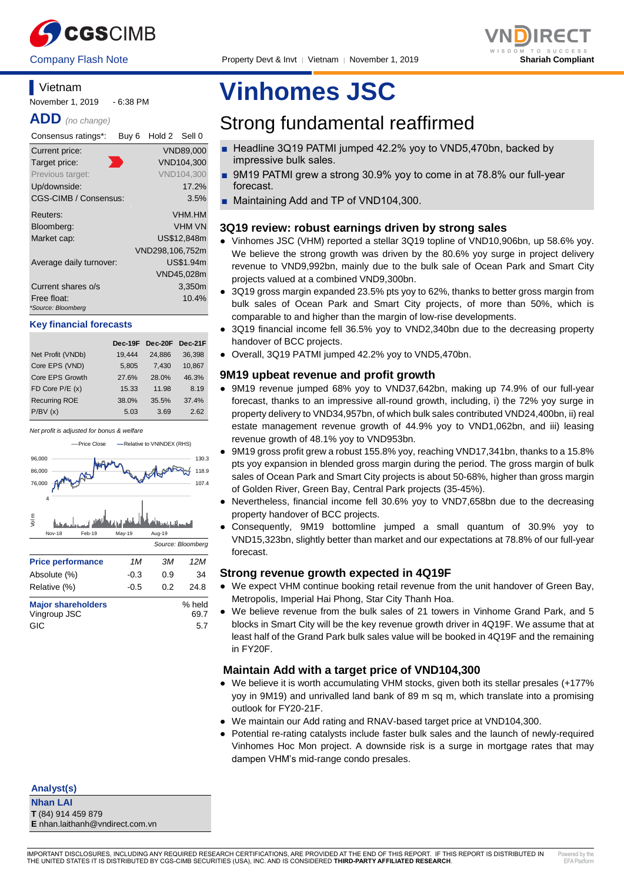



## **Vietnam** November 1, 2019 - 6:38 PM

**ADD** *(no change)*

| Consensus ratings*:               | Buy <sub>6</sub> | Hold 2 Sell 0   |               |
|-----------------------------------|------------------|-----------------|---------------|
| Current price:                    |                  |                 | VND89,000     |
| Target price:                     |                  |                 | VND104,300    |
| Previous target:                  |                  |                 | VND104,300    |
| Up/downside:                      |                  |                 | 17.2%         |
| CGS-CIMB / Consensus:             |                  |                 | 3.5%          |
| Reuters:                          |                  |                 | <b>VHM.HM</b> |
| Bloomberg:                        |                  |                 | <b>VHM VN</b> |
| Market cap:                       |                  |                 | US\$12.848m   |
|                                   |                  | VND298,106,752m |               |
| Average daily turnover:           |                  |                 | US\$1.94m     |
|                                   |                  |                 | VND45,028m    |
| Current shares o/s                |                  |                 | 3,350m        |
| Free float:<br>*Source: Bloomberg |                  |                 | 10.4%         |

#### **Key financial forecasts**

|                      | Dec-19F |        | Dec-20F Dec-21F |
|----------------------|---------|--------|-----------------|
| Net Profit (VNDb)    | 19.444  | 24.886 | 36.398          |
| Core EPS (VND)       | 5,805   | 7.430  | 10,867          |
| Core EPS Growth      | 27.6%   | 28.0%  | 46.3%           |
| $FD$ Core $P/E$ (x)  | 15.33   | 11.98  | 8.19            |
| <b>Recurring ROE</b> | 38.0%   | 35.5%  | 37.4%           |
| P/BV(x)              | 5.03    | 3.69   | 2.62            |



# **Vinhomes JSC**

# Strong fundamental reaffirmed

- Headline 3Q19 PATMI jumped 42.2% yoy to VND5,470bn, backed by impressive bulk sales.
- 9M19 PATMI grew a strong 30.9% yoy to come in at 78.8% our full-year forecast.
- Maintaining Add and TP of VND104,300.

# **3Q19 review: robust earnings driven by strong sales**

- Vinhomes JSC (VHM) reported a stellar 3Q19 topline of VND10,906bn, up 58.6% yoy. We believe the strong growth was driven by the 80.6% yoy surge in project delivery revenue to VND9,992bn, mainly due to the bulk sale of Ocean Park and Smart City projects valued at a combined VND9,300bn.
- 3Q19 gross margin expanded 23.5% pts yoy to 62%, thanks to better gross margin from bulk sales of Ocean Park and Smart City projects, of more than 50%, which is comparable to and higher than the margin of low-rise developments.
- 3Q19 financial income fell 36.5% yoy to VND2,340bn due to the decreasing property handover of BCC projects.
- Overall, 3Q19 PATMI jumped 42.2% yoy to VND5,470bn.

# **9M19 upbeat revenue and profit growth**

- 9M19 revenue jumped 68% yoy to VND37,642bn, making up 74.9% of our full-year forecast, thanks to an impressive all-round growth, including, i) the 72% yoy surge in property delivery to VND34,957bn, of which bulk sales contributed VND24,400bn, ii) real estate management revenue growth of 44.9% yoy to VND1,062bn, and iii) leasing revenue growth of 48.1% yoy to VND953bn.
- 9M19 gross profit grew a robust 155.8% yoy, reaching VND17,341bn, thanks to a 15.8% pts yoy expansion in blended gross margin during the period. The gross margin of bulk sales of Ocean Park and Smart City projects is about 50-68%, higher than gross margin of Golden River, Green Bay, Central Park projects (35-45%).
- Nevertheless, financial income fell 30.6% yoy to VND7,658bn due to the decreasing property handover of BCC projects.
- Consequently, 9M19 bottomline jumped a small quantum of 30.9% yoy to VND15,323bn, slightly better than market and our expectations at 78.8% of our full-year forecast.

# **Strong revenue growth expected in 4Q19F**

- We expect VHM continue booking retail revenue from the unit handover of Green Bay, Metropolis, Imperial Hai Phong, Star City Thanh Hoa.
- We believe revenue from the bulk sales of 21 towers in Vinhome Grand Park, and 5 blocks in Smart City will be the key revenue growth driver in 4Q19F. We assume that at least half of the Grand Park bulk sales value will be booked in 4Q19F and the remaining in FY20F.

# **Maintain Add with a target price of VND104,300**

- We believe it is worth accumulating VHM stocks, given both its stellar presales (+177% yoy in 9M19) and unrivalled land bank of 89 m sq m, which translate into a promising outlook for FY20-21F.
- We maintain our Add rating and RNAV-based target price at VND104,300.
- Potential re-rating catalysts include faster bulk sales and the launch of newly-required Vinhomes Hoc Mon project. A downside risk is a surge in mortgage rates that may dampen VHM's mid-range condo presales.

**Analyst(s)**

**Nhan LAI T** (84) 914 459 879 **E** nhan.laithanh@vndirect.com.vn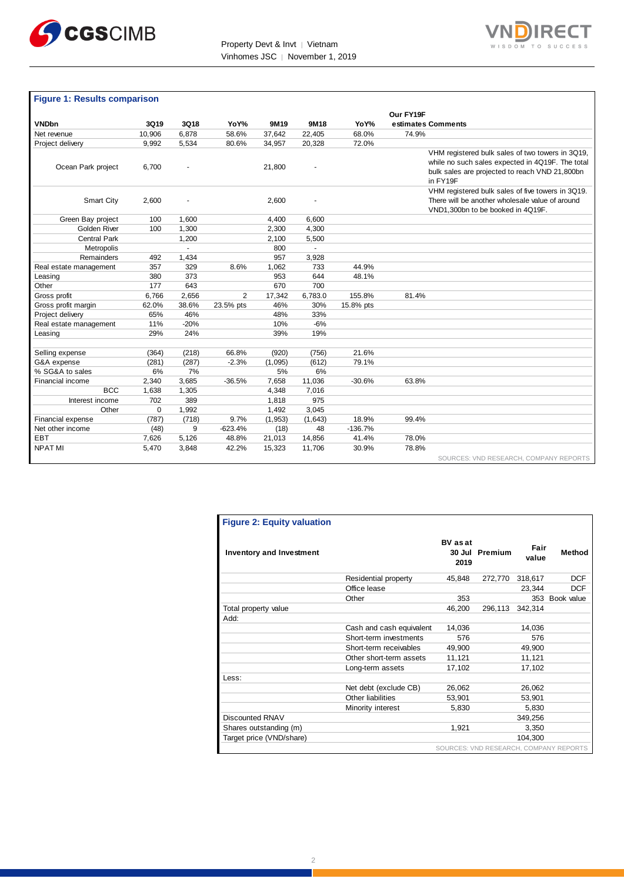



# **Figure 1: Results comparison**

|                        |        |        |           |         |         |           | Our FY19F                                                                                                                                                          |
|------------------------|--------|--------|-----------|---------|---------|-----------|--------------------------------------------------------------------------------------------------------------------------------------------------------------------|
| <b>VNDbn</b>           | 3Q19   | 3Q18   | YoY%      | 9M19    | 9M18    | YoY%      | estimates Comments                                                                                                                                                 |
| Net revenue            | 10,906 | 6,878  | 58.6%     | 37,642  | 22,405  | 68.0%     | 74.9%                                                                                                                                                              |
| Project delivery       | 9,992  | 5,534  | 80.6%     | 34,957  | 20,328  | 72.0%     |                                                                                                                                                                    |
| Ocean Park project     | 6,700  |        |           | 21,800  |         |           | VHM registered bulk sales of two towers in 3Q19,<br>while no such sales expected in 4Q19F. The total<br>bulk sales are projected to reach VND 21,800bn<br>in FY19F |
| Smart City             | 2,600  |        |           | 2,600   |         |           | VHM registered bulk sales of five towers in 3Q19.<br>There will be another wholesale value of around<br>VND1,300bn to be booked in 4Q19F.                          |
| Green Bay project      | 100    | 1,600  |           | 4,400   | 6,600   |           |                                                                                                                                                                    |
| Golden River           | 100    | 1,300  |           | 2,300   | 4,300   |           |                                                                                                                                                                    |
| <b>Central Park</b>    |        | 1,200  |           | 2,100   | 5,500   |           |                                                                                                                                                                    |
| Metropolis             |        | $\sim$ |           | 800     |         |           |                                                                                                                                                                    |
| Remainders             | 492    | 1,434  |           | 957     | 3,928   |           |                                                                                                                                                                    |
| Real estate management | 357    | 329    | 8.6%      | 1,062   | 733     | 44.9%     |                                                                                                                                                                    |
| Leasing                | 380    | 373    |           | 953     | 644     | 48.1%     |                                                                                                                                                                    |
| Other                  | 177    | 643    |           | 670     | 700     |           |                                                                                                                                                                    |
| Gross profit           | 6,766  | 2,656  | 2         | 17,342  | 6,783.0 | 155.8%    | 81.4%                                                                                                                                                              |
| Gross profit margin    | 62.0%  | 38.6%  | 23.5% pts | 46%     | 30%     | 15.8% pts |                                                                                                                                                                    |
| Project delivery       | 65%    | 46%    |           | 48%     | 33%     |           |                                                                                                                                                                    |
| Real estate management | 11%    | $-20%$ |           | 10%     | $-6%$   |           |                                                                                                                                                                    |
| Leasing                | 29%    | 24%    |           | 39%     | 19%     |           |                                                                                                                                                                    |
|                        |        |        |           |         |         |           |                                                                                                                                                                    |
| Selling expense        | (364)  | (218)  | 66.8%     | (920)   | (756)   | 21.6%     |                                                                                                                                                                    |
| G&A expense            | (281)  | (287)  | $-2.3%$   | (1,095) | (612)   | 79.1%     |                                                                                                                                                                    |
| % SG&A to sales        | 6%     | 7%     |           | 5%      | 6%      |           |                                                                                                                                                                    |
| Financial income       | 2,340  | 3,685  | $-36.5%$  | 7,658   | 11,036  | $-30.6%$  | 63.8%                                                                                                                                                              |
| <b>BCC</b>             | 1,638  | 1,305  |           | 4,348   | 7,016   |           |                                                                                                                                                                    |
| Interest income        | 702    | 389    |           | 1,818   | 975     |           |                                                                                                                                                                    |
| Other                  | 0      | 1,992  |           | 1,492   | 3,045   |           |                                                                                                                                                                    |
| Financial expense      | (787)  | (718)  | 9.7%      | (1,953) | (1,643) | 18.9%     | 99.4%                                                                                                                                                              |
| Net other income       | (48)   | 9      | $-623.4%$ | (18)    | 48      | $-136.7%$ |                                                                                                                                                                    |
| EBT                    | 7,626  | 5,126  | 48.8%     | 21,013  | 14,856  | 41.4%     | 78.0%                                                                                                                                                              |
| <b>NPATMI</b>          | 5,470  | 3,848  | 42.2%     | 15,323  | 11,706  | 30.9%     | 78.8%                                                                                                                                                              |
|                        |        |        |           |         |         |           | SOURCES: VND RESEARCH, COMPANY REPORTS                                                                                                                             |

| <b>Figure 2: Equity valuation</b> |                          |                         |                |               |                                        |
|-----------------------------------|--------------------------|-------------------------|----------------|---------------|----------------------------------------|
| <b>Inventory and Investment</b>   |                          | <b>BV</b> as at<br>2019 | 30 Jul Premium | Fair<br>value | Method                                 |
|                                   | Residential property     | 45,848                  | 272,770        | 318,617       | <b>DCF</b>                             |
|                                   | Office lease             |                         |                | 23,344        | <b>DCF</b>                             |
|                                   | Other                    | 353                     |                |               | 353 Book value                         |
| Total property value              |                          | 46,200                  | 296,113        | 342,314       |                                        |
| Add:                              |                          |                         |                |               |                                        |
|                                   | Cash and cash equivalent | 14,036                  |                | 14.036        |                                        |
|                                   | Short-term investments   | 576                     |                | 576           |                                        |
|                                   | Short-term receivables   | 49,900                  |                | 49,900        |                                        |
|                                   | Other short-term assets  | 11,121                  |                | 11,121        |                                        |
|                                   | Long-term assets         | 17,102                  |                | 17,102        |                                        |
| Less:                             |                          |                         |                |               |                                        |
|                                   | Net debt (exclude CB)    | 26,062                  |                | 26,062        |                                        |
|                                   | Other liabilities        | 53,901                  |                | 53,901        |                                        |
|                                   | Minority interest        | 5,830                   |                | 5,830         |                                        |
| Discounted RNAV                   |                          |                         |                | 349,256       |                                        |
| Shares outstanding (m)            |                          | 1,921                   |                | 3,350         |                                        |
| Target price (VND/share)          |                          |                         |                | 104.300       |                                        |
|                                   |                          |                         |                |               | SOURCES: VND RESEARCH, COMPANY REPORTS |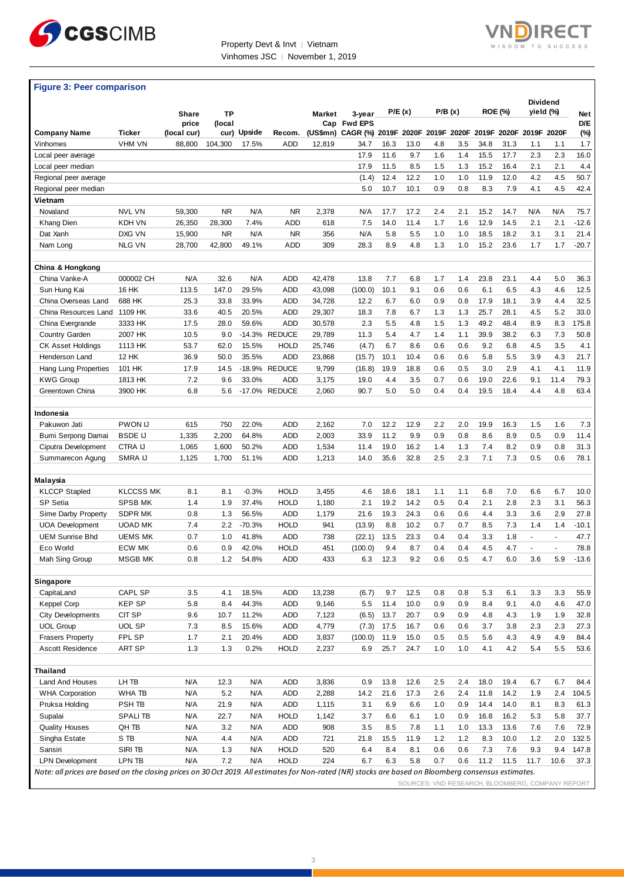



# **Figure 3: Peer comparison**

|                                                                                                                                                      |                  | Share<br>price | <b>TP</b><br>(local |             |               | Market | 3-year<br>Cap Fwd EPS                                 |      | P/E (x) |     | P/B(x) |       | <b>ROE (%)</b> |      | <b>Dividend</b><br>yield (%)                     | <b>Net</b><br>D/E |
|------------------------------------------------------------------------------------------------------------------------------------------------------|------------------|----------------|---------------------|-------------|---------------|--------|-------------------------------------------------------|------|---------|-----|--------|-------|----------------|------|--------------------------------------------------|-------------------|
| <b>Company Name</b>                                                                                                                                  | Ticker           | (local cur)    |                     | cur) Upside | Recom.        |        | (US\$mn) CAGR (%) 2019F 2020F 2019F 2020F 2019F 2020F |      |         |     |        |       |                |      | 2019F 2020F                                      | (%)               |
| Vinhomes                                                                                                                                             | <b>VHM VN</b>    | 88,800         | 104,300             | 17.5%       | ADD           | 12,819 | 34.7                                                  | 16.3 | 13.0    | 4.8 | 3.5    | 34.8  | 31.3           | 1.1  | 1.1                                              | 1.7               |
| Local peer average                                                                                                                                   |                  |                |                     |             |               |        | 17.9                                                  | 11.6 | 9.7     | 1.6 | 1.4    | 15.5  | 17.7           | 2.3  | 2.3                                              | 16.0              |
| Local peer median                                                                                                                                    |                  |                |                     |             |               |        | 17.9                                                  | 11.5 | 8.5     | 1.5 | 1.3    | 15.2  | 16.4           | 2.1  | 2.1                                              | 4.4               |
| Regional peer average                                                                                                                                |                  |                |                     |             |               |        | (1.4)                                                 | 12.4 | 12.2    | 1.0 | 1.0    | 11.9  | 12.0           | 4.2  | 4.5                                              | 50.7              |
| Regional peer median                                                                                                                                 |                  |                |                     |             |               |        | 5.0                                                   | 10.7 | 10.1    | 0.9 | 0.8    | 8.3   | 7.9            | 4.1  | 4.5                                              | 42.4              |
| Vietnam                                                                                                                                              |                  |                |                     |             |               |        |                                                       |      |         |     |        |       |                |      |                                                  |                   |
| Novaland                                                                                                                                             | <b>NVL VN</b>    | 59,300         | <b>NR</b>           | N/A         | <b>NR</b>     | 2,378  | N/A                                                   | 17.7 | 17.2    | 2.4 | 2.1    | 15.2  | 14.7           | N/A  | N/A                                              | 75.7              |
| Khang Dien                                                                                                                                           | KDH VN           | 26,350         | 28,300              | 7.4%        | ADD           | 618    | 7.5                                                   | 14.0 | 11.4    | 1.7 | 1.6    | 12.9  | 14.5           | 2.1  | 2.1                                              | $-12.6$           |
| Dat Xanh                                                                                                                                             | DXG VN           | 15,900         | <b>NR</b>           | N/A         | <b>NR</b>     | 356    | N/A                                                   | 5.8  | 5.5     | 1.0 | 1.0    | 18.5  | 18.2           | 3.1  | 3.1                                              | 21.4              |
| Nam Long                                                                                                                                             | <b>NLG VN</b>    | 28,700         | 42,800              | 49.1%       | <b>ADD</b>    | 309    | 28.3                                                  | 8.9  | 4.8     | 1.3 | 1.0    | 15.2  | 23.6           | 1.7  | 1.7                                              | $-20.7$           |
| China & Hongkong                                                                                                                                     |                  |                |                     |             |               |        |                                                       |      |         |     |        |       |                |      |                                                  |                   |
| China Vanke-A                                                                                                                                        | 000002 CH        | N/A            | 32.6                | N/A         | ADD           | 42,478 | 13.8                                                  | 7.7  | 6.8     | 1.7 | 1.4    | 23.8  | 23.1           | 4.4  | 5.0                                              | 36.3              |
| Sun Hung Kai                                                                                                                                         | 16 HK            | 113.5          | 147.0               | 29.5%       | ADD           | 43,098 | (100.0)                                               | 10.1 | 9.1     | 0.6 | 0.6    | 6.1   | 6.5            | 4.3  | 4.6                                              | 12.5              |
| China Overseas Land                                                                                                                                  | 688 HK           | 25.3           | 33.8                | 33.9%       | ADD           | 34,728 | 12.2                                                  | 6.7  | 6.0     | 0.9 | 0.8    | 17.9  | 18.1           | 3.9  | 4.4                                              | 32.5              |
| China Resources Land                                                                                                                                 | 1109 HK          | 33.6           | 40.5                | 20.5%       | ADD           | 29,307 | 18.3                                                  | 7.8  | 6.7     | 1.3 | 1.3    | 25.7  | 28.1           | 4.5  | 5.2                                              | 33.0              |
| China Evergrande                                                                                                                                     | 3333 HK          | 17.5           | 28.0                | 59.6%       | ADD           | 30,578 | 2.3                                                   | 5.5  | 4.8     | 1.5 | 1.3    | 49.2  | 48.4           | 8.9  | 8.3                                              | 175.8             |
| Country Garden                                                                                                                                       | 2007 HK          | 10.5           | 9.0                 |             | -14.3% REDUCE | 29,789 | 11.3                                                  | 5.4  | 4.7     | 1.4 | 1.1    | 39.9  | 38.2           | 6.3  | 7.3                                              | 50.8              |
| <b>CK Asset Holdings</b>                                                                                                                             | 1113 HK          | 53.7           | 62.0                | 15.5%       | <b>HOLD</b>   | 25,746 | (4.7)                                                 | 6.7  | 8.6     | 0.6 | 0.6    | 9.2   | 6.8            | 4.5  | 3.5                                              | 4.1               |
| Henderson Land                                                                                                                                       | <b>12 HK</b>     | 36.9           | 50.0                | 35.5%       | ADD           | 23,868 | (15.7)                                                | 10.1 | 10.4    | 0.6 | 0.6    | 5.8   | 5.5            | 3.9  | 4.3                                              | 21.7              |
| Hang Lung Properties                                                                                                                                 | 101 HK           | 17.9           | 14.5                |             | -18.9% REDUCE | 9,799  | (16.8)                                                | 19.9 | 18.8    | 0.6 | 0.5    | 3.0   | 2.9            | 4.1  | 4.1                                              | 11.9              |
| <b>KWG Group</b>                                                                                                                                     | 1813 HK          | 7.2            | 9.6                 | 33.0%       | ADD           | 3,175  | 19.0                                                  | 4.4  | 3.5     | 0.7 | 0.6    | 19.0  | 22.6           | 9.1  | 11.4                                             | 79.3              |
| Greentown China                                                                                                                                      | 3900 HK          | 6.8            | 5.6                 |             | -17.0% REDUCE | 2,060  | 90.7                                                  | 5.0  | 5.0     | 0.4 | 0.4    | 19.5  | 18.4           | 4.4  | 4.8                                              | 63.4              |
| Indonesia                                                                                                                                            |                  |                |                     |             |               |        |                                                       |      |         |     |        |       |                |      |                                                  |                   |
| Pakuwon Jati                                                                                                                                         | <b>PWON IJ</b>   | 615            | 750                 | 22.0%       | ADD           | 2,162  | 7.0                                                   | 12.2 | 12.9    | 2.2 | 2.0    | 19.9  | 16.3           | 1.5  | 1.6                                              | 7.3               |
| Bumi Serpong Damai                                                                                                                                   | <b>BSDE IJ</b>   | 1,335          | 2,200               | 64.8%       | ADD           | 2,003  | 33.9                                                  | 11.2 | 9.9     | 0.9 | 0.8    | 8.6   | 8.9            | 0.5  | 0.9                                              | 11.4              |
| Ciputra Development                                                                                                                                  | CTRA IJ          | 1,065          | 1,600               | 50.2%       | ADD           | 1,534  | 11.4                                                  | 19.0 | 16.2    | 1.4 | 1.3    | 7.4   | 8.2            | 0.9  | 0.8                                              | 31.3              |
| Summarecon Agung                                                                                                                                     | SMRA IJ          | 1,125          | 1,700               | 51.1%       | ADD           | 1,213  | 14.0                                                  | 35.6 | 32.8    | 2.5 | 2.3    | 7.1   | 7.3            | 0.5  | 0.6                                              | 78.1              |
| Malaysia                                                                                                                                             |                  |                |                     |             |               |        |                                                       |      |         |     |        |       |                |      |                                                  |                   |
| <b>KLCCP Stapled</b>                                                                                                                                 | <b>KLCCSS MK</b> | 8.1            | 8.1                 | $-0.3%$     | <b>HOLD</b>   | 3,455  | 4.6                                                   | 18.6 | 18.1    | 1.1 | 1.1    | 6.8   | 7.0            | 6.6  | 6.7                                              | 10.0              |
| SP Setia                                                                                                                                             | <b>SPSB MK</b>   | 1.4            | 1.9                 | 37.4%       | <b>HOLD</b>   | 1,180  | 2.1                                                   | 19.2 | 14.2    | 0.5 | 0.4    | 2.1   | 2.8            | 2.3  | 3.1                                              | 56.3              |
| Sime Darby Property                                                                                                                                  | <b>SDPR MK</b>   | 0.8            | 1.3                 | 56.5%       | ADD           | 1,179  | 21.6                                                  | 19.3 | 24.3    | 0.6 | 0.6    | 4.4   | 3.3            | 3.6  | 2.9                                              | 27.8              |
| <b>UOA Development</b>                                                                                                                               | <b>UOAD MK</b>   | 7.4            | 2.2                 | $-70.3%$    | <b>HOLD</b>   | 941    | (13.9)                                                | 8.8  | 10.2    | 0.7 | 0.7    | 8.5   | 7.3            | 1.4  | 1.4                                              | $-10.1$           |
| <b>UEM Sunrise Bhd</b>                                                                                                                               | <b>UEMS MK</b>   | 0.7            | 1.0                 | 41.8%       | ADD           | 738    | (22.1)                                                | 13.5 | 23.3    | 0.4 | 0.4    | 3.3   | 1.8            | ÷.   | $\omega$                                         | 47.7              |
| Eco World                                                                                                                                            | <b>ECW MK</b>    | 0.6            | 0.9                 | 42.0%       | <b>HOLD</b>   | 451    | (100.0)                                               | 9.4  | 8.7     | 0.4 | 0.4    | 4.5   | 4.7            |      |                                                  | 78.8              |
| Mah Sing Group                                                                                                                                       | <b>MSGB MK</b>   | 0.8            | 1.2                 | 54.8%       | ADD           | 433    | 6.3                                                   | 12.3 | 9.2     | 0.6 | 0.5    | 4.7   | 6.0            | 3.6  | 5.9                                              | $-13.6$           |
| Singapore                                                                                                                                            |                  |                |                     |             |               |        |                                                       |      |         |     |        |       |                |      |                                                  |                   |
| CapitaLand                                                                                                                                           | <b>CAPL SP</b>   | 3.5            | 4.1                 | 18.5%       | <b>ADD</b>    | 13,238 | (6.7)                                                 | 9.7  | 12.5    | 0.8 | 0.8    | 5.3   | 6.1            | 3.3  | 3.3                                              | 55.9              |
| <b>Keppel Corp</b>                                                                                                                                   | <b>KEP SP</b>    | 5.8            | 8.4                 | 44.3%       | <b>ADD</b>    | 9,146  | 5.5                                                   | 11.4 | 10.0    | 0.9 | 0.9    | 8.4   | 9.1            | 4.0  | 4.6                                              | 47.0              |
| <b>City Developments</b>                                                                                                                             | CIT SP           | 9.6            | 10.7                | 11.2%       | ADD           | 7,123  | (6.5)                                                 | 13.7 | 20.7    | 0.9 | 0.9    | 4.8   | 4.3            | 1.9  | 1.9                                              | 32.8              |
| <b>UOL Group</b>                                                                                                                                     | <b>UOL SP</b>    | 7.3            | 8.5                 | 15.6%       | ADD           | 4,779  | (7.3)                                                 | 17.5 | 16.7    | 0.6 | 0.6    | 3.7   | 3.8            | 2.3  | 2.3                                              | 27.3              |
| <b>Frasers Property</b>                                                                                                                              | FPL SP           | 1.7            | 2.1                 | 20.4%       | ADD           | 3,837  | (100.0)                                               | 11.9 | 15.0    | 0.5 | 0.5    | 5.6   | 4.3            | 4.9  | 4.9                                              | 84.4              |
| Ascott Residence                                                                                                                                     | ART SP           | 1.3            | 1.3                 | 0.2%        | <b>HOLD</b>   | 2,237  | 6.9                                                   | 25.7 | 24.7    | 1.0 | 1.0    | 4.1   | 4.2            | 5.4  | 5.5                                              | 53.6              |
| Thailand                                                                                                                                             |                  |                |                     |             |               |        |                                                       |      |         |     |        |       |                |      |                                                  |                   |
| Land And Houses                                                                                                                                      | LH TB            | N/A            | 12.3                | N/A         | ADD           | 3,836  | 0.9                                                   | 13.8 | 12.6    | 2.5 | 2.4    | 18.0  | 19.4           | 6.7  | 6.7                                              | 84.4              |
| <b>WHA Corporation</b>                                                                                                                               | WHA TB           | N/A            | $5.2\,$             | N/A         | ADD           | 2,288  | 14.2                                                  | 21.6 | 17.3    | 2.6 | 2.4    | 11.8  | 14.2           | 1.9  | 2.4                                              | 104.5             |
| Pruksa Holding                                                                                                                                       | PSH TB           | N/A            | 21.9                | N/A         | <b>ADD</b>    | 1,115  | 3.1                                                   | 6.9  | 6.6     | 1.0 | 0.9    | 14.4  | 14.0           | 8.1  | 8.3                                              | 61.3              |
| Supalai                                                                                                                                              | <b>SPALITB</b>   | N/A            | 22.7                | N/A         | <b>HOLD</b>   | 1,142  | 3.7                                                   | 6.6  | 6.1     | 1.0 | 0.9    | 16.8  | 16.2           | 5.3  | 5.8                                              | 37.7              |
| <b>Quality Houses</b>                                                                                                                                | QH TB            | N/A            | 3.2                 | N/A         | ADD           | 908    | 3.5                                                   | 8.5  | 7.8     | 1.1 | 1.0    | 13.3  | 13.6           | 7.6  | 7.6                                              | 72.9              |
| Singha Estate                                                                                                                                        | S TB             | N/A            | 4.4                 | N/A         | <b>ADD</b>    | 721    | 21.8                                                  | 15.5 | 11.9    | 1.2 | 1.2    | 8.3   | 10.0           | 1.2  | 2.0                                              | 132.5             |
| Sansiri                                                                                                                                              | SIRI TB          | N/A            | 1.3                 | N/A         | <b>HOLD</b>   | 520    | 6.4                                                   | 8.4  | 8.1     | 0.6 | 0.6    | $7.3$ | 7.6            | 9.3  | 9.4                                              | 147.8             |
| <b>LPN Development</b>                                                                                                                               | LPN TB           | N/A            | 7.2                 | N/A         | <b>HOLD</b>   | 224    | 6.7                                                   | 6.3  | 5.8     | 0.7 | 0.6    | 11.2  | 11.5           | 11.7 | 10.6                                             | 37.3              |
| Note: all prices are based on the closing prices on 30 Oct 2019. All estimates for Non-rated (NR) stocks are based on Bloomberg consensus estimates. |                  |                |                     |             |               |        |                                                       |      |         |     |        |       |                |      | SOURCES: VND RESEARCH, BLOOMBERG, COMPANY REPORT |                   |

SOURCES: VND RESEARCH, BLOOMBERG, COMPANY REPORT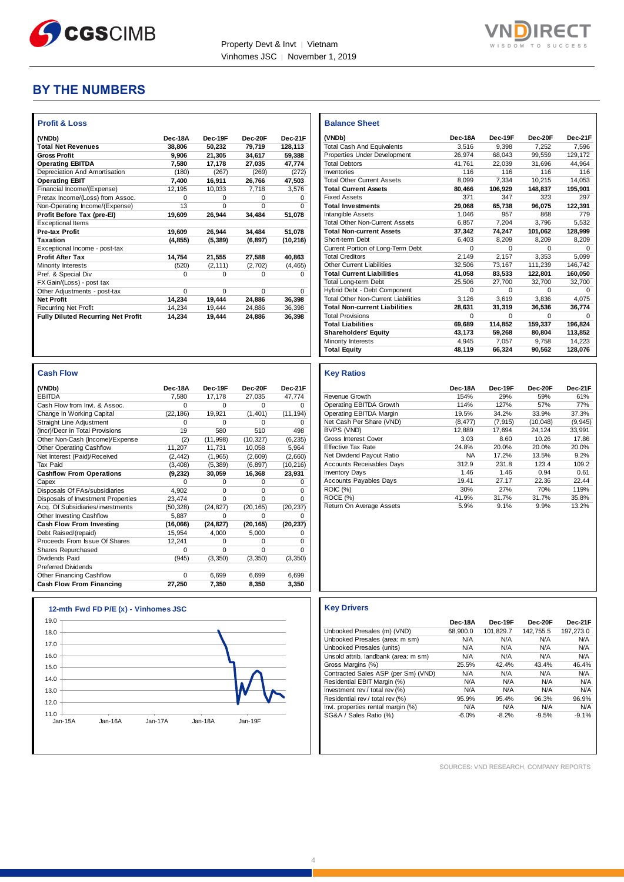

Г



# **BY THE NUMBERS**

| <b>Profit &amp; Loss</b>                  |          |          |          |              |
|-------------------------------------------|----------|----------|----------|--------------|
| (VNDb)                                    | Dec-18A  | Dec-19F  | Dec-20F  | Dec-21F      |
| <b>Total Net Revenues</b>                 | 38.806   | 50.232   | 79.719   | 128.113      |
| <b>Gross Profit</b>                       | 9.906    | 21.305   | 34.617   | 59.388       |
| <b>Operating EBITDA</b>                   | 7.580    | 17,178   | 27,035   | 47,774       |
| Depreciation And Amortisation             | (180)    | (267)    | (269)    | (272)        |
| <b>Operating EBIT</b>                     | 7,400    | 16,911   | 26,766   | 47,503       |
| Financial Income/(Expense)                | 12.195   | 10.033   | 7.718    | 3.576        |
| Pretax Income/(Loss) from Assoc.          | U        | O        | O        | <sup>0</sup> |
| Non-Operating Income/(Expense)            | 13       | $\Omega$ | $\Omega$ | $\Omega$     |
| Profit Before Tax (pre-El)                | 19,609   | 26,944   | 34.484   | 51,078       |
| <b>Exceptional Items</b>                  |          |          |          |              |
| <b>Pre-tax Profit</b>                     | 19,609   | 26,944   | 34,484   | 51,078       |
| Taxation                                  | (4, 855) | (5, 389) | (6, 897) | (10, 216)    |
| Exceptional Income - post-tax             |          |          |          |              |
| <b>Profit After Tax</b>                   | 14,754   | 21,555   | 27,588   | 40,863       |
| Minority Interests                        | (520)    | (2, 111) | (2,702)  | (4, 465)     |
| Pref. & Special Div                       | 0        | $\Omega$ | 0        | 0            |
| FX Gain/(Loss) - post tax                 |          |          |          |              |
| Other Adjustments - post-tax              | $\Omega$ | $\Omega$ | $\Omega$ | $\Omega$     |
| <b>Net Profit</b>                         | 14,234   | 19.444   | 24.886   | 36.398       |
| <b>Recurring Net Profit</b>               | 14,234   | 19.444   | 24.886   | 36,398       |
| <b>Fully Diluted Recurring Net Profit</b> | 14.234   | 19.444   | 24.886   | 36.398       |

| <b>Cash Flow</b>                   |           |           |           |           |
|------------------------------------|-----------|-----------|-----------|-----------|
| (VNDb)                             | Dec-18A   | Dec-19F   | Dec-20F   | Dec-21F   |
| <b>EBITDA</b>                      | 7.580     | 17.178    | 27.035    | 47.774    |
| Cash Flow from Invt. & Assoc.      | 0         | 0         | 0         |           |
| Change In Working Capital          | (22, 186) | 19,921    | (1,401)   | (11, 194) |
| Straight Line Adjustment           | 0         | $\Omega$  | $\Omega$  | ი         |
| (Incr)/Decr in Total Provisions    | 19        | 580       | 510       | 498       |
| Other Non-Cash (Income)/Expense    | (2)       | (11, 998) | (10, 327) | (6, 235)  |
| Other Operating Cashflow           | 11,207    | 11,731    | 10,058    | 5,964     |
| Net Interest (Paid)/Received       | (2, 442)  | (1,965)   | (2,609)   | (2,660)   |
| <b>Tax Paid</b>                    | (3, 408)  | (5, 389)  | (6, 897)  | (10, 216) |
| <b>Cashflow From Operations</b>    | (9, 232)  | 30,059    | 16,368    | 23,931    |
| Capex                              | ŋ         | 0         | $\Omega$  | 0         |
| Disposals Of FAs/subsidiaries      | 4.902     | $\Omega$  | $\Omega$  | $\Omega$  |
| Disposals of Investment Properties | 23.474    | $\Omega$  | $\Omega$  | U         |
| Acq. Of Subsidiaries/investments   | (50, 328) | (24, 827) | (20, 165) | (20, 237) |
| Other Investing Cashflow           | 5.887     | O         | $\Omega$  |           |
| Cash Flow From Investing           | (16,066)  | (24, 827) | (20, 165) | (20, 237) |
| Debt Raised/(repaid)               | 15,954    | 4,000     | 5,000     | 0         |
| Proceeds From Issue Of Shares      | 12,241    | 0         | 0         | $\Omega$  |
| Shares Repurchased                 | O         | $\Omega$  | $\Omega$  | $\Omega$  |
| Dividends Paid                     | (945)     | (3,350)   | (3, 350)  | (3, 350)  |
| <b>Preferred Dividends</b>         |           |           |           |           |
| Other Financing Cashflow           | $\Omega$  | 6.699     | 6.699     | 6.699     |
| <b>Cash Flow From Financing</b>    | 27,250    | 7,350     | 8.350     | 3,350     |



| <b>Balance Sheet</b>                       |          |          |          |         |
|--------------------------------------------|----------|----------|----------|---------|
| (VNDb)                                     | Dec-18A  | Dec-19F  | Dec-20F  | Dec-21F |
| <b>Total Cash And Equivalents</b>          | 3.516    | 9.398    | 7.252    | 7.596   |
| Properties Under Development               | 26.974   | 68.043   | 99.559   | 129.172 |
| <b>Total Debtors</b>                       | 41.761   | 22,039   | 31,696   | 44.964  |
| Inventories                                | 116      | 116      | 116      | 116     |
| <b>Total Other Current Assets</b>          | 8.099    | 7.334    | 10.215   | 14.053  |
| <b>Total Current Assets</b>                | 80,466   | 106,929  | 148,837  | 195,901 |
| <b>Fixed Assets</b>                        | 371      | 347      | 323      | 297     |
| <b>Total Investments</b>                   | 29,068   | 65.738   | 96,075   | 122,391 |
| Intangible Assets                          | 1.046    | 957      | 868      | 779     |
| <b>Total Other Non-Current Assets</b>      | 6,857    | 7.204    | 3.796    | 5.532   |
| <b>Total Non-current Assets</b>            | 37.342   | 74,247   | 101,062  | 128,999 |
| Short-term Debt                            | 6.403    | 8,209    | 8,209    | 8,209   |
| Current Portion of Long-Term Debt          | $\Omega$ | $\Omega$ | $\Omega$ | 0       |
| <b>Total Creditors</b>                     | 2,149    | 2.157    | 3,353    | 5,099   |
| Other Current Liabilities                  | 32,506   | 73.167   | 111.239  | 146,742 |
| <b>Total Current Liabilities</b>           | 41.058   | 83.533   | 122.801  | 160,050 |
| Total Long-term Debt                       | 25,506   | 27,700   | 32,700   | 32,700  |
| Hybrid Debt - Debt Component               | $\Omega$ | $\Omega$ | $\Omega$ | O       |
| <b>Total Other Non-Current Liabilities</b> | 3.126    | 3.619    | 3.836    | 4,075   |
| <b>Total Non-current Liabilities</b>       | 28,631   | 31,319   | 36,536   | 36,774  |
| <b>Total Provisions</b>                    | $\Omega$ | $\Omega$ | $\Omega$ | O       |
| <b>Total Liabilities</b>                   | 69,689   | 114,852  | 159,337  | 196,824 |
| <b>Shareholders' Equity</b>                | 43,173   | 59,268   | 80,804   | 113,852 |
| Minority Interests                         | 4,945    | 7.057    | 9,758    | 14,223  |
| <b>Total Equity</b>                        | 48,119   | 66,324   | 90,562   | 128,076 |

#### **Key Ratios**

|                                  | Dec-18A   | Dec-19F  | Dec-20F  | Dec-21F  |
|----------------------------------|-----------|----------|----------|----------|
| Revenue Growth                   | 154%      | 29%      | 59%      | 61%      |
| Operating EBITDA Growth          | 114%      | 127%     | 57%      | 77%      |
| Operating EBITDA Margin          | 19.5%     | 34.2%    | 33.9%    | 37.3%    |
| Net Cash Per Share (VND)         | (8, 477)  | (7, 915) | (10,048) | (9, 945) |
| BVPS (VND)                       | 12.889    | 17.694   | 24.124   | 33.991   |
| Gross Interest Cover             | 3.03      | 8.60     | 10.26    | 17.86    |
| Effective Tax Rate               | 24.8%     | 20.0%    | 20.0%    | 20.0%    |
| Net Dividend Payout Ratio        | <b>NA</b> | 17.2%    | 13.5%    | 9.2%     |
| <b>Accounts Receivables Days</b> | 312.9     | 231.8    | 123.4    | 109.2    |
| <b>Inventory Days</b>            | 1.46      | 1.46     | 0.94     | 0.61     |
| <b>Accounts Payables Days</b>    | 19.41     | 27.17    | 22.36    | 22.44    |
| <b>ROIC</b> (%)                  | 30%       | 27%      | 70%      | 119%     |
| ROCE (%)                         | 41.9%     | 31.7%    | 31.7%    | 35.8%    |
| Return On Average Assets         | 5.9%      | 9.1%     | 9.9%     | 13.2%    |

|                                      | Dec-18A  | Dec-19F   | Dec-20F   | Dec-21F   |
|--------------------------------------|----------|-----------|-----------|-----------|
| Unbooked Presales (m) (VND)          | 68,900.0 | 101,829.7 | 142,755.5 | 197.273.0 |
| Unbooked Presales (area: m sm)       | N/A      | N/A       | N/A       | N/A       |
| Unbooked Presales (units)            | N/A      | N/A       | N/A       | N/A       |
| Unsold attrib. landbank (area: m sm) | N/A      | N/A       | N/A       | N/A       |
| Gross Margins (%)                    | 25.5%    | 42.4%     | 43.4%     | 46.4%     |
| Contracted Sales ASP (per Sm) (VND)  | N/A      | N/A       | N/A       | N/A       |
| Residential EBIT Margin (%)          | N/A      | N/A       | N/A       | N/A       |
| Investment rev / total rev $(\%)$    | N/A      | N/A       | N/A       | N/A       |
| Residential rev / total rev (%)      | 95.9%    | 95.4%     | 96.3%     | 96.9%     |
| Invt. properties rental margin (%)   | N/A      | N/A       | N/A       | N/A       |
| SG&A / Sales Ratio (%)               | $-6.0%$  | $-8.2%$   | $-9.5%$   | $-9.1%$   |

SOURCES: VND RESEARCH, COMPANY REPORTS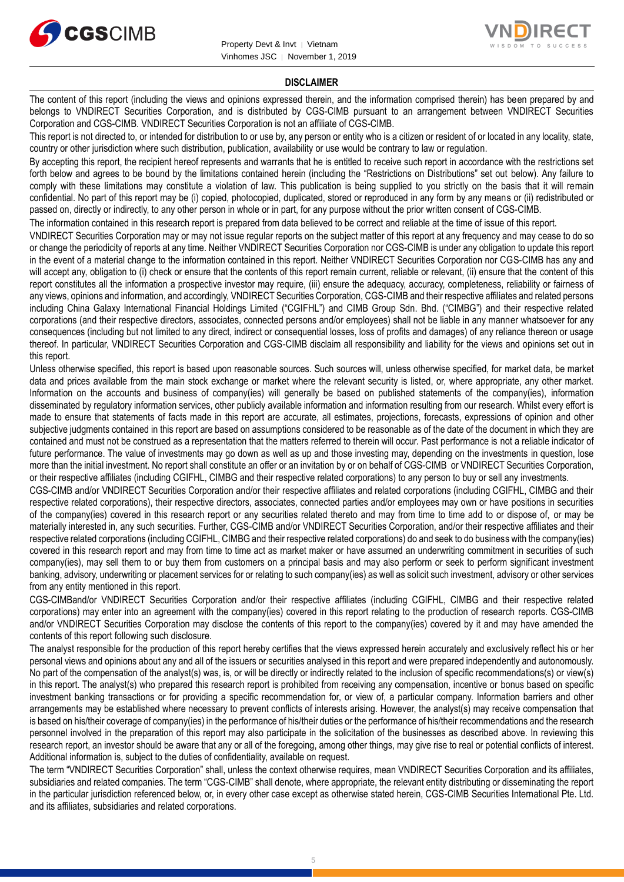



#### **DISCLAIMER**

The content of this report (including the views and opinions expressed therein, and the information comprised therein) has been prepared by and belongs to VNDIRECT Securities Corporation, and is distributed by CGS-CIMB pursuant to an arrangement between VNDIRECT Securities Corporation and CGS-CIMB. VNDIRECT Securities Corporation is not an affiliate of CGS-CIMB.

This report is not directed to, or intended for distribution to or use by, any person or entity who is a citizen or resident of or located in any locality, state, country or other jurisdiction where such distribution, publication, availability or use would be contrary to law or regulation.

By accepting this report, the recipient hereof represents and warrants that he is entitled to receive such report in accordance with the restrictions set forth below and agrees to be bound by the limitations contained herein (including the "Restrictions on Distributions" set out below). Any failure to comply with these limitations may constitute a violation of law. This publication is being supplied to you strictly on the basis that it will remain confidential. No part of this report may be (i) copied, photocopied, duplicated, stored or reproduced in any form by any means or (ii) redistributed or passed on, directly or indirectly, to any other person in whole or in part, for any purpose without the prior written consent of CGS-CIMB.

The information contained in this research report is prepared from data believed to be correct and reliable at the time of issue of this report.

VNDIRECT Securities Corporation may or may not issue regular reports on the subject matter of this report at any frequency and may cease to do so or change the periodicity of reports at any time. Neither VNDIRECT Securities Corporation nor CGS-CIMB is under any obligation to update this report in the event of a material change to the information contained in this report. Neither VNDIRECT Securities Corporation nor CGS-CIMB has any and will accept any, obligation to (i) check or ensure that the contents of this report remain current, reliable or relevant, (ii) ensure that the content of this report constitutes all the information a prospective investor may require, (iii) ensure the adequacy, accuracy, completeness, reliability or fairness of any views, opinions and information, and accordingly, VNDIRECT Securities Corporation, CGS-CIMB and their respective affiliates and related persons including China Galaxy International Financial Holdings Limited ("CGIFHL") and CIMB Group Sdn. Bhd. ("CIMBG") and their respective related corporations (and their respective directors, associates, connected persons and/or employees) shall not be liable in any manner whatsoever for any consequences (including but not limited to any direct, indirect or consequential losses, loss of profits and damages) of any reliance thereon or usage thereof. In particular, VNDIRECT Securities Corporation and CGS-CIMB disclaim all responsibility and liability for the views and opinions set out in this report.

Unless otherwise specified, this report is based upon reasonable sources. Such sources will, unless otherwise specified, for market data, be market data and prices available from the main stock exchange or market where the relevant security is listed, or, where appropriate, any other market. Information on the accounts and business of company(ies) will generally be based on published statements of the company(ies), information disseminated by regulatory information services, other publicly available information and information resulting from our research. Whilst every effort is made to ensure that statements of facts made in this report are accurate, all estimates, projections, forecasts, expressions of opinion and other subjective judgments contained in this report are based on assumptions considered to be reasonable as of the date of the document in which they are contained and must not be construed as a representation that the matters referred to therein will occur. Past performance is not a reliable indicator of future performance. The value of investments may go down as well as up and those investing may, depending on the investments in question, lose more than the initial investment. No report shall constitute an offer or an invitation by or on behalf of CGS-CIMB or VNDIRECT Securities Corporation, or their respective affiliates (including CGIFHL, CIMBG and their respective related corporations) to any person to buy or sell any investments.

CGS-CIMB and/or VNDIRECT Securities Corporation and/or their respective affiliates and related corporations (including CGIFHL, CIMBG and their respective related corporations), their respective directors, associates, connected parties and/or employees may own or have positions in securities of the company(ies) covered in this research report or any securities related thereto and may from time to time add to or dispose of, or may be materially interested in, any such securities. Further, CGS-CIMB and/or VNDIRECT Securities Corporation, and/or their respective affiliates and their respective related corporations (including CGIFHL, CIMBG and their respective related corporations) do and seek to do business with the company(ies) covered in this research report and may from time to time act as market maker or have assumed an underwriting commitment in securities of such company(ies), may sell them to or buy them from customers on a principal basis and may also perform or seek to perform significant investment banking, advisory, underwriting or placement services for or relating to such company(ies) as well as solicit such investment, advisory or other services from any entity mentioned in this report.

CGS-CIMBand/or VNDIRECT Securities Corporation and/or their respective affiliates (including CGIFHL, CIMBG and their respective related corporations) may enter into an agreement with the company(ies) covered in this report relating to the production of research reports. CGS-CIMB and/or VNDIRECT Securities Corporation may disclose the contents of this report to the company(ies) covered by it and may have amended the contents of this report following such disclosure.

The analyst responsible for the production of this report hereby certifies that the views expressed herein accurately and exclusively reflect his or her personal views and opinions about any and all of the issuers or securities analysed in this report and were prepared independently and autonomously. No part of the compensation of the analyst(s) was, is, or will be directly or indirectly related to the inclusion of specific recommendations(s) or view(s) in this report. The analyst(s) who prepared this research report is prohibited from receiving any compensation, incentive or bonus based on specific investment banking transactions or for providing a specific recommendation for, or view of, a particular company. Information barriers and other arrangements may be established where necessary to prevent conflicts of interests arising. However, the analyst(s) may receive compensation that is based on his/their coverage of company(ies) in the performance of his/their duties or the performance of his/their recommendations and the research personnel involved in the preparation of this report may also participate in the solicitation of the businesses as described above. In reviewing this research report, an investor should be aware that any or all of the foregoing, among other things, may give rise to real or potential conflicts of interest. Additional information is, subject to the duties of confidentiality, available on request.

The term "VNDIRECT Securities Corporation" shall, unless the context otherwise requires, mean VNDIRECT Securities Corporation and its affiliates, subsidiaries and related companies. The term "CGS-CIMB" shall denote, where appropriate, the relevant entity distributing or disseminating the report in the particular jurisdiction referenced below, or, in every other case except as otherwise stated herein, CGS-CIMB Securities International Pte. Ltd. and its affiliates, subsidiaries and related corporations.

5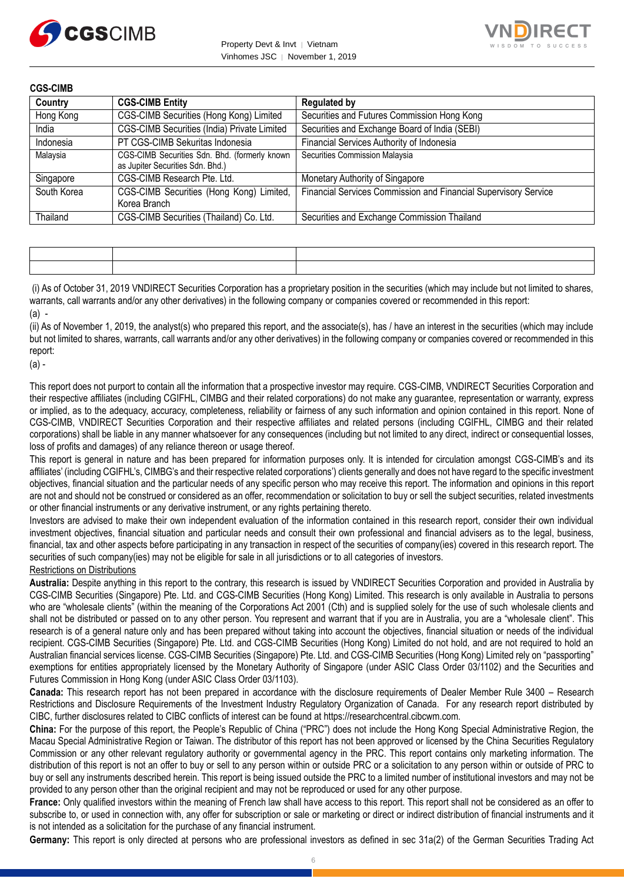



| <b>CGS-CIMB</b> |                                                                                   |                                                                 |
|-----------------|-----------------------------------------------------------------------------------|-----------------------------------------------------------------|
| Country         | <b>CGS-CIMB Entity</b>                                                            | <b>Regulated by</b>                                             |
| Hong Kong       | CGS-CIMB Securities (Hong Kong) Limited                                           | Securities and Futures Commission Hong Kong                     |
| India           | CGS-CIMB Securities (India) Private Limited                                       | Securities and Exchange Board of India (SEBI)                   |
| Indonesia       | PT CGS-CIMB Sekuritas Indonesia                                                   | Financial Services Authority of Indonesia                       |
| Malaysia        | CGS-CIMB Securities Sdn. Bhd. (formerly known<br>as Jupiter Securities Sdn. Bhd.) | Securities Commission Malaysia                                  |
| Singapore       | CGS-CIMB Research Pte. Ltd.                                                       | Monetary Authority of Singapore                                 |
| South Korea     | CGS-CIMB Securities (Hong Kong) Limited,<br>Korea Branch                          | Financial Services Commission and Financial Supervisory Service |
| Thailand        | CGS-CIMB Securities (Thailand) Co. Ltd.                                           | Securities and Exchange Commission Thailand                     |

(i) As of October 31, 2019 VNDIRECT Securities Corporation has a proprietary position in the securities (which may include but not limited to shares, warrants, call warrants and/or any other derivatives) in the following company or companies covered or recommended in this report:  $(a)$  -

(ii) As of November 1, 2019, the analyst(s) who prepared this report, and the associate(s), has / have an interest in the securities (which may include but not limited to shares, warrants, call warrants and/or any other derivatives) in the following company or companies covered or recommended in this report:

(a) -

This report does not purport to contain all the information that a prospective investor may require. CGS-CIMB, VNDIRECT Securities Corporation and their respective affiliates (including CGIFHL, CIMBG and their related corporations) do not make any guarantee, representation or warranty, express or implied, as to the adequacy, accuracy, completeness, reliability or fairness of any such information and opinion contained in this report. None of CGS-CIMB, VNDIRECT Securities Corporation and their respective affiliates and related persons (including CGIFHL, CIMBG and their related corporations) shall be liable in any manner whatsoever for any consequences (including but not limited to any direct, indirect or consequential losses, loss of profits and damages) of any reliance thereon or usage thereof.

This report is general in nature and has been prepared for information purposes only. It is intended for circulation amongst CGS-CIMB's and its affiliates' (including CGIFHL's, CIMBG's and their respective related corporations') clients generally and does not have regard to the specific investment objectives, financial situation and the particular needs of any specific person who may receive this report. The information and opinions in this report are not and should not be construed or considered as an offer, recommendation or solicitation to buy or sell the subject securities, related investments or other financial instruments or any derivative instrument, or any rights pertaining thereto.

Investors are advised to make their own independent evaluation of the information contained in this research report, consider their own individual investment objectives, financial situation and particular needs and consult their own professional and financial advisers as to the legal, business, financial, tax and other aspects before participating in any transaction in respect of the securities of company(ies) covered in this research report. The securities of such company(ies) may not be eligible for sale in all jurisdictions or to all categories of investors.

# Restrictions on Distributions

**Australia:** Despite anything in this report to the contrary, this research is issued by VNDIRECT Securities Corporation and provided in Australia by CGS-CIMB Securities (Singapore) Pte. Ltd. and CGS-CIMB Securities (Hong Kong) Limited. This research is only available in Australia to persons who are "wholesale clients" (within the meaning of the Corporations Act 2001 (Cth) and is supplied solely for the use of such wholesale clients and shall not be distributed or passed on to any other person. You represent and warrant that if you are in Australia, you are a "wholesale client". This research is of a general nature only and has been prepared without taking into account the objectives, financial situation or needs of the individual recipient. CGS-CIMB Securities (Singapore) Pte. Ltd. and CGS-CIMB Securities (Hong Kong) Limited do not hold, and are not required to hold an Australian financial services license. CGS-CIMB Securities (Singapore) Pte. Ltd. and CGS-CIMB Securities (Hong Kong) Limited rely on "passporting" exemptions for entities appropriately licensed by the Monetary Authority of Singapore (under ASIC Class Order 03/1102) and the Securities and Futures Commission in Hong Kong (under ASIC Class Order 03/1103).

**Canada:** This research report has not been prepared in accordance with the disclosure requirements of Dealer Member Rule 3400 – Research Restrictions and Disclosure Requirements of the Investment Industry Regulatory Organization of Canada. For any research report distributed by CIBC, further disclosures related to CIBC conflicts of interest can be found at https://researchcentral.cibcwm.com.

**China:** For the purpose of this report, the People's Republic of China ("PRC") does not include the Hong Kong Special Administrative Region, the Macau Special Administrative Region or Taiwan. The distributor of this report has not been approved or licensed by the China Securities Regulatory Commission or any other relevant regulatory authority or governmental agency in the PRC. This report contains only marketing information. The distribution of this report is not an offer to buy or sell to any person within or outside PRC or a solicitation to any person within or outside of PRC to buy or sell any instruments described herein. This report is being issued outside the PRC to a limited number of institutional investors and may not be provided to any person other than the original recipient and may not be reproduced or used for any other purpose.

**France:** Only qualified investors within the meaning of French law shall have access to this report. This report shall not be considered as an offer to subscribe to, or used in connection with, any offer for subscription or sale or marketing or direct or indirect distribution of financial instruments and it is not intended as a solicitation for the purchase of any financial instrument.

**Germany:** This report is only directed at persons who are professional investors as defined in sec 31a(2) of the German Securities Trading Act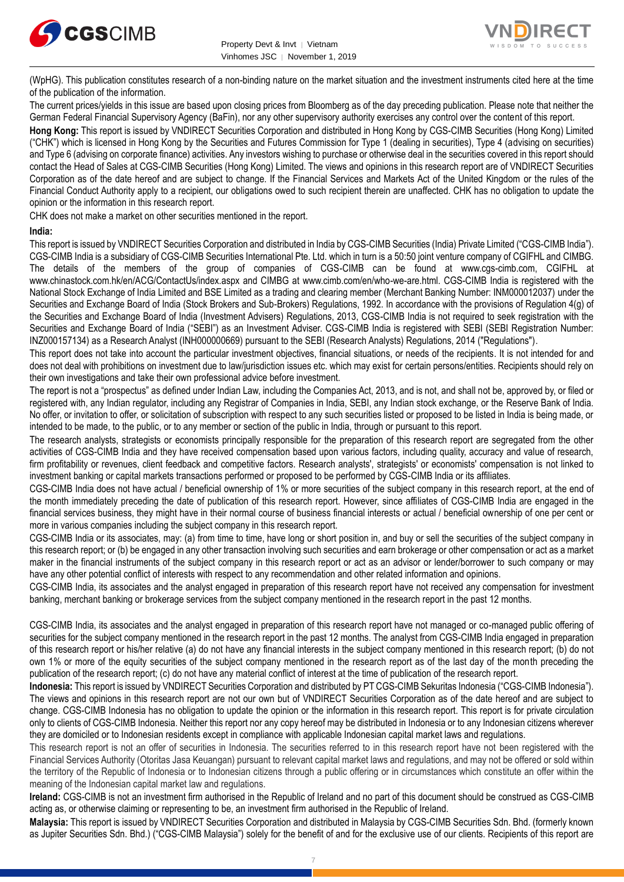



(WpHG). This publication constitutes research of a non-binding nature on the market situation and the investment instruments cited here at the time of the publication of the information.

The current prices/yields in this issue are based upon closing prices from Bloomberg as of the day preceding publication. Please note that neither the German Federal Financial Supervisory Agency (BaFin), nor any other supervisory authority exercises any control over the content of this report.

**Hong Kong:** This report is issued by VNDIRECT Securities Corporation and distributed in Hong Kong by CGS-CIMB Securities (Hong Kong) Limited ("CHK") which is licensed in Hong Kong by the Securities and Futures Commission for Type 1 (dealing in securities), Type 4 (advising on securities) and Type 6 (advising on corporate finance) activities. Any investors wishing to purchase or otherwise deal in the securities covered in this report should contact the Head of Sales at CGS-CIMB Securities (Hong Kong) Limited. The views and opinions in this research report are of VNDIRECT Securities Corporation as of the date hereof and are subject to change. If the Financial Services and Markets Act of the United Kingdom or the rules of the Financial Conduct Authority apply to a recipient, our obligations owed to such recipient therein are unaffected. CHK has no obligation to update the opinion or the information in this research report.

CHK does not make a market on other securities mentioned in the report.

### **India:**

This report is issued by VNDIRECT Securities Corporation and distributed in India by CGS-CIMB Securities (India) Private Limited ("CGS-CIMB India"). CGS-CIMB India is a subsidiary of CGS-CIMB Securities International Pte. Ltd. which in turn is a 50:50 joint venture company of CGIFHL and CIMBG. The details of the members of the group of companies of CGS-CIMB can be found at www.cgs-cimb.com, CGIFHL at www.chinastock.com.hk/en/ACG/ContactUs/index.aspx and CIMBG at www.cimb.com/en/who-we-are.html. CGS-CIMB India is registered with the National Stock Exchange of India Limited and BSE Limited as a trading and clearing member (Merchant Banking Number: INM000012037) under the Securities and Exchange Board of India (Stock Brokers and Sub-Brokers) Regulations, 1992. In accordance with the provisions of Regulation 4(g) of the Securities and Exchange Board of India (Investment Advisers) Regulations, 2013, CGS-CIMB India is not required to seek registration with the Securities and Exchange Board of India ("SEBI") as an Investment Adviser. CGS-CIMB India is registered with SEBI (SEBI Registration Number: INZ000157134) as a Research Analyst (INH000000669) pursuant to the SEBI (Research Analysts) Regulations, 2014 ("Regulations").

This report does not take into account the particular investment objectives, financial situations, or needs of the recipients. It is not intended for and does not deal with prohibitions on investment due to law/jurisdiction issues etc. which may exist for certain persons/entities. Recipients should rely on their own investigations and take their own professional advice before investment.

The report is not a "prospectus" as defined under Indian Law, including the Companies Act, 2013, and is not, and shall not be, approved by, or filed or registered with, any Indian regulator, including any Registrar of Companies in India, SEBI, any Indian stock exchange, or the Reserve Bank of India. No offer, or invitation to offer, or solicitation of subscription with respect to any such securities listed or proposed to be listed in India is being made, or intended to be made, to the public, or to any member or section of the public in India, through or pursuant to this report.

The research analysts, strategists or economists principally responsible for the preparation of this research report are segregated from the other activities of CGS-CIMB India and they have received compensation based upon various factors, including quality, accuracy and value of research, firm profitability or revenues, client feedback and competitive factors. Research analysts', strategists' or economists' compensation is not linked to investment banking or capital markets transactions performed or proposed to be performed by CGS-CIMB India or its affiliates.

CGS-CIMB India does not have actual / beneficial ownership of 1% or more securities of the subject company in this research report, at the end of the month immediately preceding the date of publication of this research report. However, since affiliates of CGS-CIMB India are engaged in the financial services business, they might have in their normal course of business financial interests or actual / beneficial ownership of one per cent or more in various companies including the subject company in this research report.

CGS-CIMB India or its associates, may: (a) from time to time, have long or short position in, and buy or sell the securities of the subject company in this research report; or (b) be engaged in any other transaction involving such securities and earn brokerage or other compensation or act as a market maker in the financial instruments of the subject company in this research report or act as an advisor or lender/borrower to such company or may have any other potential conflict of interests with respect to any recommendation and other related information and opinions.

CGS-CIMB India, its associates and the analyst engaged in preparation of this research report have not received any compensation for investment banking, merchant banking or brokerage services from the subject company mentioned in the research report in the past 12 months.

CGS-CIMB India, its associates and the analyst engaged in preparation of this research report have not managed or co-managed public offering of securities for the subject company mentioned in the research report in the past 12 months. The analyst from CGS-CIMB India engaged in preparation of this research report or his/her relative (a) do not have any financial interests in the subject company mentioned in this research report; (b) do not own 1% or more of the equity securities of the subject company mentioned in the research report as of the last day of the month preceding the publication of the research report; (c) do not have any material conflict of interest at the time of publication of the research report.

**Indonesia:** This report is issued by VNDIRECT Securities Corporation and distributed by PT CGS-CIMB Sekuritas Indonesia ("CGS-CIMB Indonesia"). The views and opinions in this research report are not our own but of VNDIRECT Securities Corporation as of the date hereof and are subject to change. CGS-CIMB Indonesia has no obligation to update the opinion or the information in this research report. This report is for private circulation only to clients of CGS-CIMB Indonesia. Neither this report nor any copy hereof may be distributed in Indonesia or to any Indonesian citizens wherever they are domiciled or to Indonesian residents except in compliance with applicable Indonesian capital market laws and regulations.

This research report is not an offer of securities in Indonesia. The securities referred to in this research report have not been registered with the Financial Services Authority (Otoritas Jasa Keuangan) pursuant to relevant capital market laws and regulations, and may not be offered or sold within the territory of the Republic of Indonesia or to Indonesian citizens through a public offering or in circumstances which constitute an offer within the meaning of the Indonesian capital market law and regulations.

**Ireland:** CGS-CIMB is not an investment firm authorised in the Republic of Ireland and no part of this document should be construed as CGS-CIMB acting as, or otherwise claiming or representing to be, an investment firm authorised in the Republic of Ireland.

**Malaysia:** This report is issued by VNDIRECT Securities Corporation and distributed in Malaysia by CGS-CIMB Securities Sdn. Bhd. (formerly known as Jupiter Securities Sdn. Bhd.) ("CGS-CIMB Malaysia") solely for the benefit of and for the exclusive use of our clients. Recipients of this report are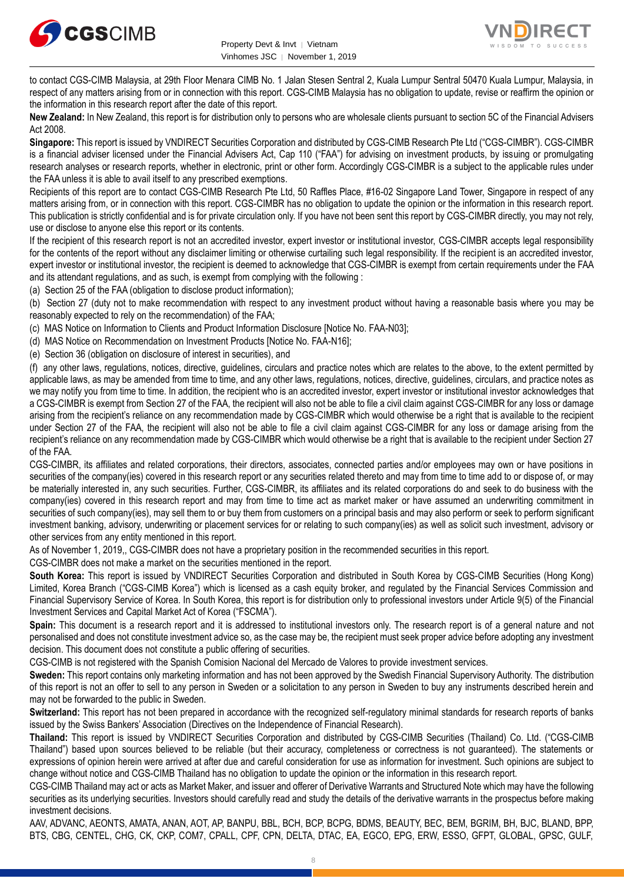



to contact CGS-CIMB Malaysia, at 29th Floor Menara CIMB No. 1 Jalan Stesen Sentral 2, Kuala Lumpur Sentral 50470 Kuala Lumpur, Malaysia, in respect of any matters arising from or in connection with this report. CGS-CIMB Malaysia has no obligation to update, revise or reaffirm the opinion or the information in this research report after the date of this report.

**New Zealand:** In New Zealand, this report is for distribution only to persons who are wholesale clients pursuant to section 5C of the Financial Advisers Act 2008.

**Singapore:** This report is issued by VNDIRECT Securities Corporation and distributed by CGS-CIMB Research Pte Ltd ("CGS-CIMBR"). CGS-CIMBR is a financial adviser licensed under the Financial Advisers Act, Cap 110 ("FAA") for advising on investment products, by issuing or promulgating research analyses or research reports, whether in electronic, print or other form. Accordingly CGS-CIMBR is a subject to the applicable rules under the FAA unless it is able to avail itself to any prescribed exemptions.

Recipients of this report are to contact CGS-CIMB Research Pte Ltd, 50 Raffles Place, #16-02 Singapore Land Tower, Singapore in respect of any matters arising from, or in connection with this report. CGS-CIMBR has no obligation to update the opinion or the information in this research report. This publication is strictly confidential and is for private circulation only. If you have not been sent this report by CGS-CIMBR directly, you may not rely, use or disclose to anyone else this report or its contents.

If the recipient of this research report is not an accredited investor, expert investor or institutional investor, CGS-CIMBR accepts legal responsibility for the contents of the report without any disclaimer limiting or otherwise curtailing such legal responsibility. If the recipient is an accredited investor, expert investor or institutional investor, the recipient is deemed to acknowledge that CGS-CIMBR is exempt from certain requirements under the FAA and its attendant regulations, and as such, is exempt from complying with the following :

(a) Section 25 of the FAA (obligation to disclose product information);

(b) Section 27 (duty not to make recommendation with respect to any investment product without having a reasonable basis where you may be reasonably expected to rely on the recommendation) of the FAA;

(c) MAS Notice on Information to Clients and Product Information Disclosure [Notice No. FAA-N03];

(d) MAS Notice on Recommendation on Investment Products [Notice No. FAA-N16];

(e) Section 36 (obligation on disclosure of interest in securities), and

(f) any other laws, regulations, notices, directive, guidelines, circulars and practice notes which are relates to the above, to the extent permitted by applicable laws, as may be amended from time to time, and any other laws, regulations, notices, directive, guidelines, circulars, and practice notes as we may notify you from time to time. In addition, the recipient who is an accredited investor, expert investor or institutional investor acknowledges that a CGS-CIMBR is exempt from Section 27 of the FAA, the recipient will also not be able to file a civil claim against CGS-CIMBR for any loss or damage arising from the recipient's reliance on any recommendation made by CGS-CIMBR which would otherwise be a right that is available to the recipient under Section 27 of the FAA, the recipient will also not be able to file a civil claim against CGS-CIMBR for any loss or damage arising from the recipient's reliance on any recommendation made by CGS-CIMBR which would otherwise be a right that is available to the recipient under Section 27 of the FAA.

CGS-CIMBR, its affiliates and related corporations, their directors, associates, connected parties and/or employees may own or have positions in securities of the company(ies) covered in this research report or any securities related thereto and may from time to time add to or dispose of, or may be materially interested in, any such securities. Further, CGS-CIMBR, its affiliates and its related corporations do and seek to do business with the company(ies) covered in this research report and may from time to time act as market maker or have assumed an underwriting commitment in securities of such company(ies), may sell them to or buy them from customers on a principal basis and may also perform or seek to perform significant investment banking, advisory, underwriting or placement services for or relating to such company(ies) as well as solicit such investment, advisory or other services from any entity mentioned in this report.

As of November 1, 2019,, CGS-CIMBR does not have a proprietary position in the recommended securities in this report.

CGS-CIMBR does not make a market on the securities mentioned in the report.

**South Korea:** This report is issued by VNDIRECT Securities Corporation and distributed in South Korea by CGS-CIMB Securities (Hong Kong) Limited, Korea Branch ("CGS-CIMB Korea") which is licensed as a cash equity broker, and regulated by the Financial Services Commission and Financial Supervisory Service of Korea. In South Korea, this report is for distribution only to professional investors under Article 9(5) of the Financial Investment Services and Capital Market Act of Korea ("FSCMA").

**Spain:** This document is a research report and it is addressed to institutional investors only. The research report is of a general nature and not personalised and does not constitute investment advice so, as the case may be, the recipient must seek proper advice before adopting any investment decision. This document does not constitute a public offering of securities.

CGS-CIMB is not registered with the Spanish Comision Nacional del Mercado de Valores to provide investment services.

**Sweden:** This report contains only marketing information and has not been approved by the Swedish Financial Supervisory Authority. The distribution of this report is not an offer to sell to any person in Sweden or a solicitation to any person in Sweden to buy any instruments described herein and may not be forwarded to the public in Sweden.

**Switzerland:** This report has not been prepared in accordance with the recognized self-regulatory minimal standards for research reports of banks issued by the Swiss Bankers' Association (Directives on the Independence of Financial Research).

**Thailand:** This report is issued by VNDIRECT Securities Corporation and distributed by CGS-CIMB Securities (Thailand) Co. Ltd. ("CGS-CIMB Thailand") based upon sources believed to be reliable (but their accuracy, completeness or correctness is not guaranteed). The statements or expressions of opinion herein were arrived at after due and careful consideration for use as information for investment. Such opinions are subject to change without notice and CGS-CIMB Thailand has no obligation to update the opinion or the information in this research report.

CGS-CIMB Thailand may act or acts as Market Maker, and issuer and offerer of Derivative Warrants and Structured Note which may have the following securities as its underlying securities. Investors should carefully read and study the details of the derivative warrants in the prospectus before making investment decisions.

AAV, ADVANC, AEONTS, AMATA, ANAN, AOT, AP, BANPU, BBL, BCH, BCP, BCPG, BDMS, BEAUTY, BEC, BEM, BGRIM, BH, BJC, BLAND, BPP, BTS, CBG, CENTEL, CHG, CK, CKP, COM7, CPALL, CPF, CPN, DELTA, DTAC, EA, EGCO, EPG, ERW, ESSO, GFPT, GLOBAL, GPSC, GULF,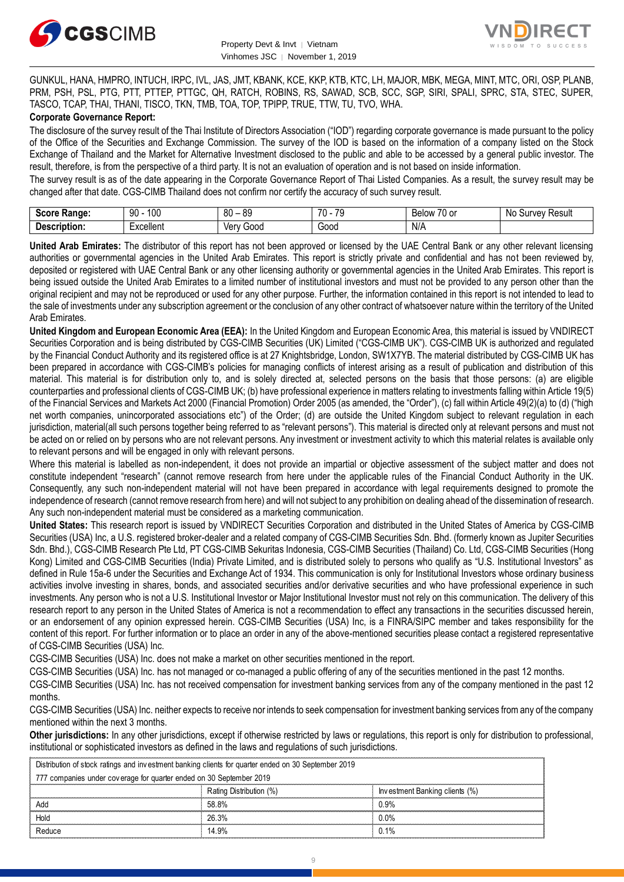



GUNKUL, HANA, HMPRO, INTUCH, IRPC, IVL, JAS, JMT, KBANK, KCE, KKP, KTB, KTC, LH, MAJOR, MBK, MEGA, MINT, MTC, ORI, OSP, PLANB, PRM, PSH, PSL, PTG, PTT, PTTEP, PTTGC, QH, RATCH, ROBINS, RS, SAWAD, SCB, SCC, SGP, SIRI, SPALI, SPRC, STA, STEC, SUPER, TASCO, TCAP, THAI, THANI, TISCO, TKN, TMB, TOA, TOP, TPIPP, TRUE, TTW, TU, TVO, WHA.

### **Corporate Governance Report:**

The disclosure of the survey result of the Thai Institute of Directors Association ("IOD") regarding corporate governance is made pursuant to the policy of the Office of the Securities and Exchange Commission. The survey of the IOD is based on the information of a company listed on the Stock Exchange of Thailand and the Market for Alternative Investment disclosed to the public and able to be accessed by a general public investor. The result, therefore, is from the perspective of a third party. It is not an evaluation of operation and is not based on inside information.

The survey result is as of the date appearing in the Corporate Governance Report of Thai Listed Companies. As a result, the survey result may be changed after that date. CGS-CIMB Thailand does not confirm nor certify the accuracy of such survey result.

| <b>CAAPA</b><br><b>Range:</b><br>. | 100<br>۵n<br>טע<br>ĴU  | 80<br>or<br>o<br>$\overline{\phantom{a}}$ | 7٨<br>70<br>. . | $\sim$ $\sim$<br>Below<br>$\sim$<br>٠υ.<br>v | : Resul<br>N0<br>∵Urveٽ |
|------------------------------------|------------------------|-------------------------------------------|-----------------|----------------------------------------------|-------------------------|
| <b>Descrir</b><br>ription.         | Lyoolloni<br>. איוטווע | Verv<br>000ئ<br>, v,                      | 000خ            | N/A                                          |                         |

**United Arab Emirates:** The distributor of this report has not been approved or licensed by the UAE Central Bank or any other relevant licensing authorities or governmental agencies in the United Arab Emirates. This report is strictly private and confidential and has not been reviewed by, deposited or registered with UAE Central Bank or any other licensing authority or governmental agencies in the United Arab Emirates. This report is being issued outside the United Arab Emirates to a limited number of institutional investors and must not be provided to any person other than the original recipient and may not be reproduced or used for any other purpose. Further, the information contained in this report is not intended to lead to the sale of investments under any subscription agreement or the conclusion of any other contract of whatsoever nature within the territory of the United Arab Emirates.

**United Kingdom and European Economic Area (EEA):** In the United Kingdom and European Economic Area, this material is issued by VNDIRECT Securities Corporation and is being distributed by CGS-CIMB Securities (UK) Limited ("CGS-CIMB UK"). CGS-CIMB UK is authorized and regulated by the Financial Conduct Authority and its registered office is at 27 Knightsbridge, London, SW1X7YB. The material distributed by CGS-CIMB UK has been prepared in accordance with CGS-CIMB's policies for managing conflicts of interest arising as a result of publication and distribution of this material. This material is for distribution only to, and is solely directed at, selected persons on the basis that those persons: (a) are eligible counterparties and professional clients of CGS-CIMB UK; (b) have professional experience in matters relating to investments falling within Article 19(5) of the Financial Services and Markets Act 2000 (Financial Promotion) Order 2005 (as amended, the "Order"), (c) fall within Article 49(2)(a) to (d) ("high net worth companies, unincorporated associations etc") of the Order; (d) are outside the United Kingdom subject to relevant regulation in each jurisdiction, material(all such persons together being referred to as "relevant persons"). This material is directed only at relevant persons and must not be acted on or relied on by persons who are not relevant persons. Any investment or investment activity to which this material relates is available only to relevant persons and will be engaged in only with relevant persons.

Where this material is labelled as non-independent, it does not provide an impartial or objective assessment of the subject matter and does not constitute independent "research" (cannot remove research from here under the applicable rules of the Financial Conduct Authority in the UK. Consequently, any such non-independent material will not have been prepared in accordance with legal requirements designed to promote the independence of research (cannot remove research from here) and will not subject to any prohibition on dealing ahead of the dissemination of research. Any such non-independent material must be considered as a marketing communication.

**United States:** This research report is issued by VNDIRECT Securities Corporation and distributed in the United States of America by CGS-CIMB Securities (USA) Inc, a U.S. registered broker-dealer and a related company of CGS-CIMB Securities Sdn. Bhd. (formerly known as Jupiter Securities Sdn. Bhd.), CGS-CIMB Research Pte Ltd, PT CGS-CIMB Sekuritas Indonesia, CGS-CIMB Securities (Thailand) Co. Ltd, CGS-CIMB Securities (Hong Kong) Limited and CGS-CIMB Securities (India) Private Limited, and is distributed solely to persons who qualify as "U.S. Institutional Investors" as defined in Rule 15a-6 under the Securities and Exchange Act of 1934. This communication is only for Institutional Investors whose ordinary business activities involve investing in shares, bonds, and associated securities and/or derivative securities and who have professional experience in such investments. Any person who is not a U.S. Institutional Investor or Major Institutional Investor must not rely on this communication. The delivery of this research report to any person in the United States of America is not a recommendation to effect any transactions in the securities discussed herein, or an endorsement of any opinion expressed herein. CGS-CIMB Securities (USA) Inc, is a FINRA/SIPC member and takes responsibility for the content of this report. For further information or to place an order in any of the above-mentioned securities please contact a registered representative of CGS-CIMB Securities (USA) Inc.

CGS-CIMB Securities (USA) Inc. does not make a market on other securities mentioned in the report.

CGS-CIMB Securities (USA) Inc. has not managed or co-managed a public offering of any of the securities mentioned in the past 12 months.

CGS-CIMB Securities (USA) Inc. has not received compensation for investment banking services from any of the company mentioned in the past 12 months.

CGS-CIMB Securities (USA) Inc. neither expects to receive nor intends to seek compensation for investment banking services from any of the company mentioned within the next 3 months.

**Other jurisdictions:** In any other jurisdictions, except if otherwise restricted by laws or regulations, this report is only for distribution to professional, institutional or sophisticated investors as defined in the laws and regulations of such jurisdictions. entioned within the next 3 months.<br> **ther jurisdictions:** In any other jurisdictions, except if otherwise restricted by laws antitutional or sophisticated investors as defined in the laws and regulations of such ju<br>
Distri

| Other jurisdictions: In any other jurisdictions, except if otherwise restricted by laws or regulations, this report is only for distribution to<br>institutional or sophisticated investors as defined in the laws and regulations of such jurisdictions. |                         |                                |  |  |  |
|-----------------------------------------------------------------------------------------------------------------------------------------------------------------------------------------------------------------------------------------------------------|-------------------------|--------------------------------|--|--|--|
| Distribution of stock ratings and investment banking clients for quarter ended on 30 September 2019                                                                                                                                                       |                         |                                |  |  |  |
| 777 companies under coverage for quarter ended on 30 September 2019                                                                                                                                                                                       |                         |                                |  |  |  |
|                                                                                                                                                                                                                                                           | Rating Distribution (%) | Investment Banking clients (%) |  |  |  |
| Add                                                                                                                                                                                                                                                       | 58.8%                   | 0.9%                           |  |  |  |
| Hold                                                                                                                                                                                                                                                      | 26.3%                   | በ በ%                           |  |  |  |
| Reduce                                                                                                                                                                                                                                                    | 14.9%                   | 0.1%                           |  |  |  |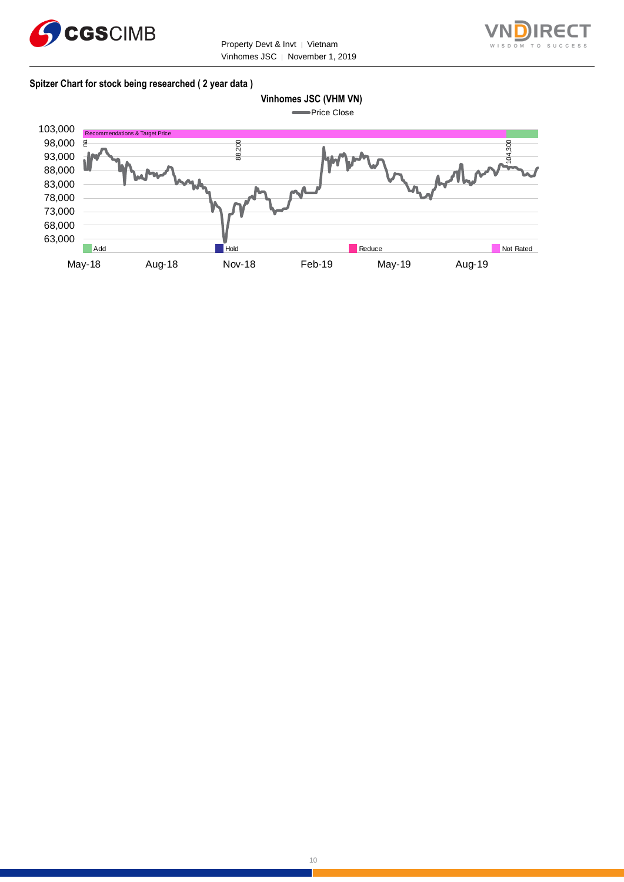



## **Spitzer Chart for stock being researched ( 2 year data )**



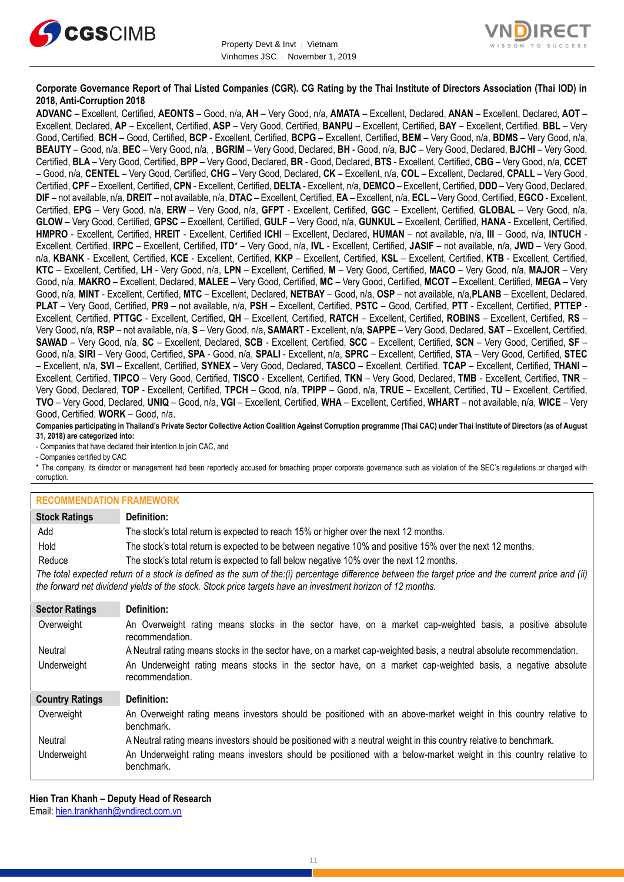



# **Corporate Governance Report of Thai Listed Companies (CGR). CG Rating by the Thai Institute of Directors Association (Thai IOD) in 2018, Anti-Corruption 2018**

**ADVANC** – Excellent, Certified, **AEONTS** – Good, n/a, **AH** – Very Good, n/a, **AMATA** – Excellent, Declared, **ANAN** – Excellent, Declared, **AOT** – Excellent, Declared, **AP** – Excellent, Certified, **ASP** – Very Good, Certified, **BANPU** – Excellent, Certified, **BAY** – Excellent, Certified, **BBL** – Very Good, Certified, **BCH** – Good, Certified, **BCP** - Excellent, Certified, **BCPG** – Excellent, Certified, **BEM** – Very Good, n/a, **BDMS** – Very Good, n/a, **BEAUTY** – Good, n/a, **BEC** – Very Good, n/a, , **BGRIM** – Very Good, Declared, **BH** - Good, n/a, **BJC** – Very Good, Declared, **BJCHI** – Very Good, Certified, **BLA** – Very Good, Certified, **BPP** – Very Good, Declared, **BR** - Good, Declared, **BTS** - Excellent, Certified, **CBG** – Very Good, n/a, **CCET** – Good, n/a, **CENTEL** – Very Good, Certified, **CHG** – Very Good, Declared, **CK** – Excellent, n/a, **COL** – Excellent, Declared, **CPALL** – Very Good, Certified, **CPF** – Excellent, Certified, **CPN** - Excellent, Certified, **DELTA** - Excellent, n/a, **DEMCO** – Excellent, Certified, **DDD** – Very Good, Declared, **DIF** – not available, n/a, **DREIT** – not available, n/a, **DTAC** – Excellent, Certified, **EA** – Excellent, n/a, **ECL** – Very Good, Certified, **EGCO** - Excellent, Certified, **EPG** – Very Good, n/a, **ERW** – Very Good, n/a, **GFPT** - Excellent, Certified, **GGC** – Excellent, Certified, **GLOBAL** – Very Good, n/a, **GLOW** – Very Good, Certified, **GPSC** – Excellent, Certified, **GULF** – Very Good, n/a, **GUNKUL** – Excellent, Certified, **HANA** - Excellent, Certified, **HMPRO** - Excellent, Certified, **HREIT** - Excellent, Certified **ICHI** – Excellent, Declared, **HUMAN** – not available, n/a, **III** – Good, n/a, **INTUCH** - Excellent, Certified, **IRPC** – Excellent, Certified, **ITD**\* – Very Good, n/a, **IVL** - Excellent, Certified, **JASIF** – not available, n/a, **JWD** – Very Good, n/a, **KBANK** - Excellent, Certified, **KCE** - Excellent, Certified, **KKP** – Excellent, Certified, **KSL** – Excellent, Certified, **KTB** - Excellent, Certified, **KTC** – Excellent, Certified, **LH** - Very Good, n/a, **LPN** – Excellent, Certified, **M** – Very Good, Certified, **MACO** – Very Good, n/a, **MAJOR** – Very Good, n/a, **MAKRO** – Excellent, Declared, **MALEE** – Very Good, Certified, **MC** – Very Good, Certified, **MCOT** – Excellent, Certified, **MEGA** – Very Good, n/a, **MINT** - Excellent, Certified, **MTC** – Excellent, Declared, **NETBAY** – Good, n/a, **OSP** – not available, n/a,**PLANB** – Excellent, Declared, **PLAT** – Very Good, Certified, **PR9** – not available, n/a, **PSH** – Excellent, Certified, **PSTC** – Good, Certified, **PTT** - Excellent, Certified, **PTTEP** - Excellent, Certified, **PTTGC** - Excellent, Certified, **QH** – Excellent, Certified, **RATCH** – Excellent, Certified, **ROBINS** – Excellent, Certified, **RS** – Very Good, n/a, **RSP** – not available, n/a, **S** – Very Good, n/a, **SAMART** - Excellent, n/a, **SAPPE** – Very Good, Declared, **SAT** – Excellent, Certified, **SAWAD** – Very Good, n/a, **SC** – Excellent, Declared, **SCB** - Excellent, Certified, **SCC** – Excellent, Certified, **SCN** – Very Good, Certified, **SF** – Good, n/a, **SIRI** – Very Good, Certified, **SPA** - Good, n/a, **SPALI** - Excellent, n/a, **SPRC** – Excellent, Certified, **STA** – Very Good, Certified, **STEC** – Excellent, n/a, **SVI** – Excellent, Certified, **SYNEX** – Very Good, Declared, **TASCO** – Excellent, Certified, **TCAP** – Excellent, Certified, **THANI** – Excellent, Certified, **TIPCO** – Very Good, Certified, **TISCO** - Excellent, Certified, **TKN** – Very Good, Declared, **TMB** - Excellent, Certified, **TNR** – Very Good, Declared, **TOP** - Excellent, Certified, **TPCH** – Good, n/a, **TPIPP** – Good, n/a, **TRUE** – Excellent, Certified, **TU** – Excellent, Certified, **TVO** – Very Good, Declared, **UNIQ** – Good, n/a, **VGI** – Excellent, Certified, **WHA** – Excellent, Certified, **WHART** – not available, n/a, **WICE** – Very Good, Certified, **WORK** – Good, n/a.

**Companies participating in Thailand's Private Sector Collective Action Coalition Against Corruption programme (Thai CAC) under Thai Institute of Directors (as of August 31, 2018) are categorized into:**

- Companies that have declared their intention to join CAC, and

- Companies certified by CAC

\* The company, its director or management had been reportedly accused for breaching proper corporate governance such as violation of the SEC's regulations or charged with corruption.

#### **RECOMMENDATION FRAMEWORK**

| <b>Stock Ratings</b>   | Definition:                                                                                                                                                                                                                                                       |  |  |  |
|------------------------|-------------------------------------------------------------------------------------------------------------------------------------------------------------------------------------------------------------------------------------------------------------------|--|--|--|
| Add                    | The stock's total return is expected to reach 15% or higher over the next 12 months.                                                                                                                                                                              |  |  |  |
| Hold                   | The stock's total return is expected to be between negative 10% and positive 15% over the next 12 months.                                                                                                                                                         |  |  |  |
| Reduce                 | The stock's total return is expected to fall below negative 10% over the next 12 months.                                                                                                                                                                          |  |  |  |
|                        | The total expected return of a stock is defined as the sum of the:(i) percentage difference between the target price and the current price and (ii)<br>the forward net dividend yields of the stock. Stock price targets have an investment horizon of 12 months. |  |  |  |
| <b>Sector Ratings</b>  | Definition:                                                                                                                                                                                                                                                       |  |  |  |
| Overweight             | An Overweight rating means stocks in the sector have, on a market cap-weighted basis, a positive absolute<br>recommendation.                                                                                                                                      |  |  |  |
| Neutral                | A Neutral rating means stocks in the sector have, on a market cap-weighted basis, a neutral absolute recommendation.                                                                                                                                              |  |  |  |
| Underweight            | An Underweight rating means stocks in the sector have, on a market cap-weighted basis, a negative absolute<br>recommendation.                                                                                                                                     |  |  |  |
| <b>Country Ratings</b> | Definition:                                                                                                                                                                                                                                                       |  |  |  |
| Overweight             | An Overweight rating means investors should be positioned with an above-market weight in this country relative to<br>benchmark.                                                                                                                                   |  |  |  |
| Neutral                | A Neutral rating means investors should be positioned with a neutral weight in this country relative to benchmark.                                                                                                                                                |  |  |  |
| Underweight            | An Underweight rating means investors should be positioned with a below-market weight in this country relative to<br>benchmark.                                                                                                                                   |  |  |  |

**Hien Tran Khanh – Deputy Head of Research** Email: [hien.trankhanh@vndirect.com.vn](mailto:hien.trankhanh@vndirect.com.vn)